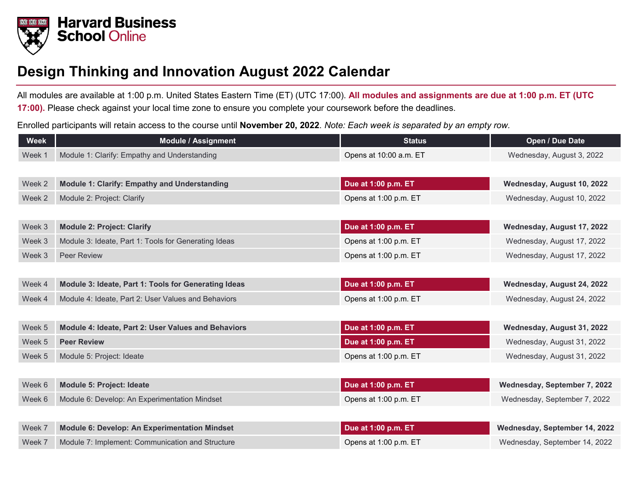

## **Design Thinking and Innovation August 2022 Calendar**

All modules are available at 1:00 p.m. United States Eastern Time (ET) (UTC 17:00). **All modules and assignments are due at 1:00 p.m. ET (UTC 17:00).** Please check against your local time zone to ensure you complete your coursework before the deadlines.

Enrolled participants will retain access to the course until **November 20, 2022**. *Note: Each week is separated by an empty row.*

| <b>Week</b> | <b>Module / Assignment</b>                           | <b>Status</b>          | Open / Due Date               |
|-------------|------------------------------------------------------|------------------------|-------------------------------|
| Week 1      | Module 1: Clarify: Empathy and Understanding         | Opens at 10:00 a.m. ET | Wednesday, August 3, 2022     |
|             |                                                      |                        |                               |
| Week 2      | <b>Module 1: Clarify: Empathy and Understanding</b>  | Due at 1:00 p.m. ET    | Wednesday, August 10, 2022    |
| Week 2      | Module 2: Project: Clarify                           | Opens at 1:00 p.m. ET  | Wednesday, August 10, 2022    |
|             |                                                      |                        |                               |
| Week 3      | <b>Module 2: Project: Clarify</b>                    | Due at 1:00 p.m. ET    | Wednesday, August 17, 2022    |
| Week 3      | Module 3: Ideate, Part 1: Tools for Generating Ideas | Opens at 1:00 p.m. ET  | Wednesday, August 17, 2022    |
| Week 3      | <b>Peer Review</b>                                   | Opens at 1:00 p.m. ET  | Wednesday, August 17, 2022    |
|             |                                                      |                        |                               |
| Week 4      | Module 3: Ideate, Part 1: Tools for Generating Ideas | Due at 1:00 p.m. ET    | Wednesday, August 24, 2022    |
| Week 4      | Module 4: Ideate, Part 2: User Values and Behaviors  | Opens at 1:00 p.m. ET  | Wednesday, August 24, 2022    |
|             |                                                      |                        |                               |
| Week 5      | Module 4: Ideate, Part 2: User Values and Behaviors  | Due at 1:00 p.m. ET    | Wednesday, August 31, 2022    |
| Week 5      | <b>Peer Review</b>                                   | Due at 1:00 p.m. ET    | Wednesday, August 31, 2022    |
| Week 5      | Module 5: Project: Ideate                            | Opens at 1:00 p.m. ET  | Wednesday, August 31, 2022    |
|             |                                                      |                        |                               |
| Week 6      | <b>Module 5: Project: Ideate</b>                     | Due at 1:00 p.m. ET    | Wednesday, September 7, 2022  |
| Week 6      | Module 6: Develop: An Experimentation Mindset        | Opens at 1:00 p.m. ET  | Wednesday, September 7, 2022  |
|             |                                                      |                        |                               |
| Week 7      | Module 6: Develop: An Experimentation Mindset        | Due at 1:00 p.m. ET    | Wednesday, September 14, 2022 |
| Week 7      | Module 7: Implement: Communication and Structure     | Opens at 1:00 p.m. ET  | Wednesday, September 14, 2022 |